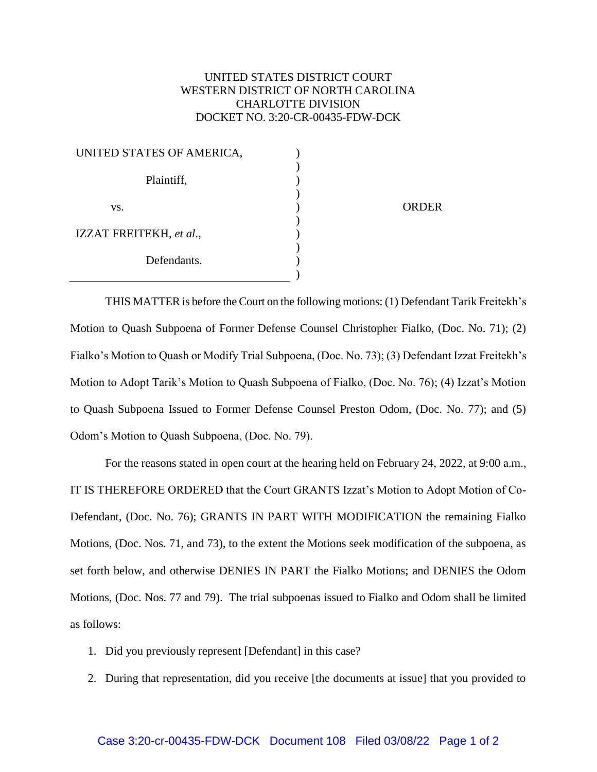## UNITED STATES DISTRICT COURT WESTERN DISTRICT OF NORTH CAROLINA CHARLOTTE DIVISION DOCKET NO. 3:20-CR-00435-FDW-DCK

| UNITED STATES OF AMERICA, |  |
|---------------------------|--|
| Plaintiff,                |  |
| VS.                       |  |
| IZZAT FREITEKH, et al.,   |  |
| Defendants.               |  |
|                           |  |

**ORDER** 

THIS MATTER is before the Court on the following motions: (1) Defendant Tarik Freitekh's Motion to Quash Subpoena of Former Defense Counsel Christopher Fialko, (Doc. No. 71); (2) Fialko's Motion to Quash or Modify Trial Subpoena, (Doc. No. 73); (3) Defendant Izzat Freitekh's Motion to Adopt Tarik's Motion to Quash Subpoena of Fialko, (Doc. No. 76); (4) Izzat's Motion to Quash Subpoena Issued to Former Defense Counsel Preston Odom, (Doc. No. 77); and (5) Odom's Motion to Quash Subpoena, (Doc. No. 79).

For the reasons stated in open court at the hearing held on February 24, 2022, at 9:00 a.m., IT IS THEREFORE ORDERED that the Court GRANTS Izzat's Motion to Adopt Motion of Co-Defendant, (Doc. No. 76); GRANTS IN PART WITH MODIFICATION the remaining Fialko Motions, (Doc. Nos. 71, and 73), to the extent the Motions seek modification of the subpoena, as set forth below, and otherwise DENIES IN PART the Fialko Motions; and DENIES the Odom Motions, (Doc. Nos. 77 and 79). The trial subpoenas issued to Fialko and Odom shall be limited as follows:

- 1. Did you previously represent [Defendant] in this case?
- 2. During that representation, did you receive [the documents at issue] that you provided to